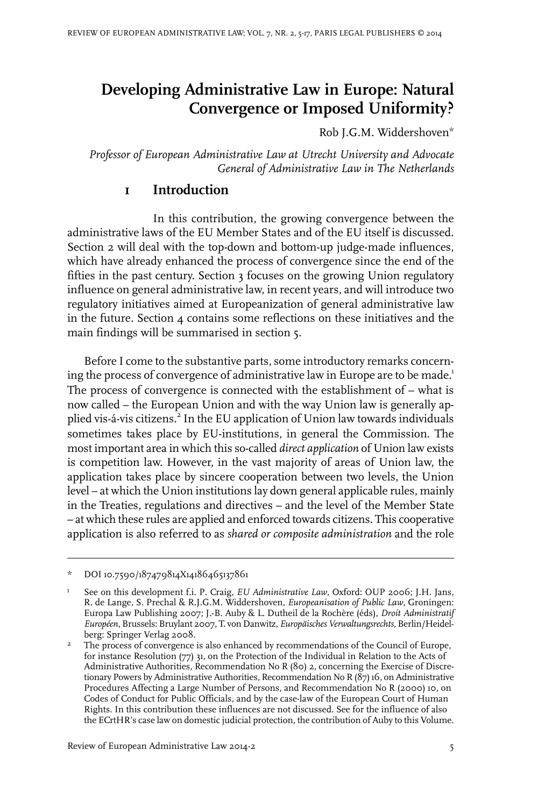# **Developing Administrative Law in Europe: Natural Convergence or Imposed Uniformity?**

Rob J.G.M. Widdershoven\*

*Professor of European Administrative Law at Utrecht University and Advocate General of Administrative Law in The Netherlands*

#### **1 Introduction**

In this contribution, the growing convergence between the administrative laws of the EU Member States and of the EU itself is discussed. Section 2 will deal with the top-down and bottom-up judge-made influences, which have already enhanced the process of convergence since the end of the fifties in the past century. Section 3 focuses on the growing Union regulatory influence on general administrative law, in recent years, and will introduce two regulatory initiatives aimed at Europeanization of general administrative law in the future. Section  $\mu$  contains some reflections on these initiatives and the main findings will be summarised in section 5.

Before I come to the substantive parts, some introductory remarks concerning the process of convergence of administrative law in Europe are to be made.<sup>1</sup> The process of convergence is connected with the establishment of – what is now called – the European Union and with the way Union law is generally applied vis-á-vis citizens.<sup>2</sup> In the EU application of Union law towards individuals sometimes takes place by EU-institutions, in general the Commission. The most important area in which this so-called *direct application* of Union law exists is competition law. However, in the vast majority of areas of Union law, the application takes place by sincere cooperation between two levels, the Union level – at which the Union institutions lay down general applicable rules, mainly in the Treaties, regulations and directives – and the level of the Member State – at which these rules are applied and enforced towards citizens. This cooperative application is also referred to as *shared or composite administration* and the role

<sup>\*</sup> DOI10.7590/187479814X14186465137861

See on this development f.i. P. Craig, *EU Administrative Law*, Oxford: OUP 2006; J.H. Jans, R. de Lange, S. Prechal & R.J.G.M. Widdershoven, *Europeanisation of Public Law*, Groningen: 1 Europa Law Publishing 2007; J.-B. Auby & L. Dutheil de la Rochère (éds), *Droit Administratif Européen*, Brussels: Bruylant 2007, T. von Danwitz, *Europäisches Verwaltungsrechts*, Berlin/Heidelberg: Springer Verlag 2008.

The process of convergence is also enhanced by recommendations of the Council of Europe, for instance Resolution (77) 31, on the Protection of the Individual in Relation to the Acts of 2 Administrative Authorities, Recommendation No R (80) 2, concerning the Exercise of Discretionary Powers by Administrative Authorities, Recommendation No R (87) 16, on Administrative Procedures Affecting a Large Number of Persons, and Recommendation No R (2000) 10, on Codes of Conduct for Public Officials, and by the case-law of the European Court of Human Rights.In this contribution these influences are not discussed. See for the influence of also the ECrtHR's case law on domestic judicial protection, the contribution of Auby to this Volume.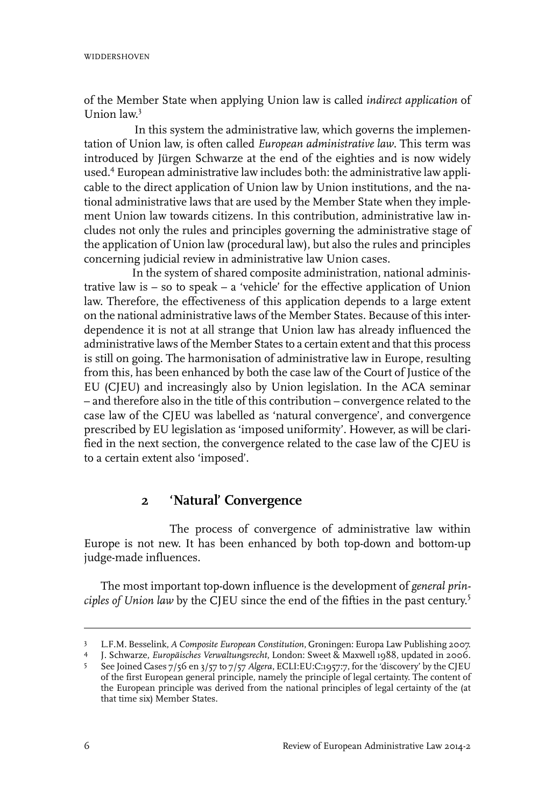of the Member State when applying Union law is called *indirect application* of Union law. 3

In this system the administrative law, which governs the implementation of Union law, is often called *European administrative law*. This term was introduced by Jürgen Schwarze at the end of the eighties and is now widely used.<sup>4</sup> European administrative law includes both: the administrative law applicable to the direct application of Union law by Union institutions, and the national administrative laws that are used by the Member State when they implement Union law towards citizens. In this contribution, administrative law includes not only the rules and principles governing the administrative stage of the application of Union law (procedural law), but also the rules and principles concerning judicial review in administrative law Union cases.

In the system of shared composite administration, national administrative law is – so to speak – a 'vehicle' for the effective application of Union law. Therefore, the effectiveness of this application depends to a large extent on the national administrative laws of the Member States. Because of this interdependence it is not at all strange that Union law has already influenced the administrative laws of the Member States to a certain extent and that this process is still on going. The harmonisation of administrative law in Europe, resulting from this, has been enhanced by both the case law of the Court of Justice of the EU (CJEU) and increasingly also by Union legislation. In the ACA seminar – and therefore also in the title of this contribution – convergence related to the case law of the CJEU was labelled as 'natural convergence', and convergence prescribed by EU legislation as 'imposed uniformity'. However, as will be clarified in the next section, the convergence related to the case law of the CJEU is to a certain extent also 'imposed'.

# **2 'Natural' Convergence**

The process of convergence of administrative law within Europe is not new. It has been enhanced by both top-down and bottom-up judge-made influences.

The most important top-down influence is the development of *general principles of Union law* by the CJEU since the end of the fifties in the past century. 5

L.F.M. Besselink, *A Composite European Constitution*, Groningen: Europa Law Publishing 2007. 3

J. Schwarze, *Europäisches Verwaltungsrecht*, London: Sweet & Maxwell 1988, updated in 2006. <sup>4</sup>

See Joined Cases 7/56 en 3/57 to 7/57 *Algera*, ECLI:EU:C:1957:7, for the 'discovery' by the CJEU of the first European general principle, namely the principle of legal certainty. The content of 5 the European principle was derived from the national principles of legal certainty of the (at that time six) Member States.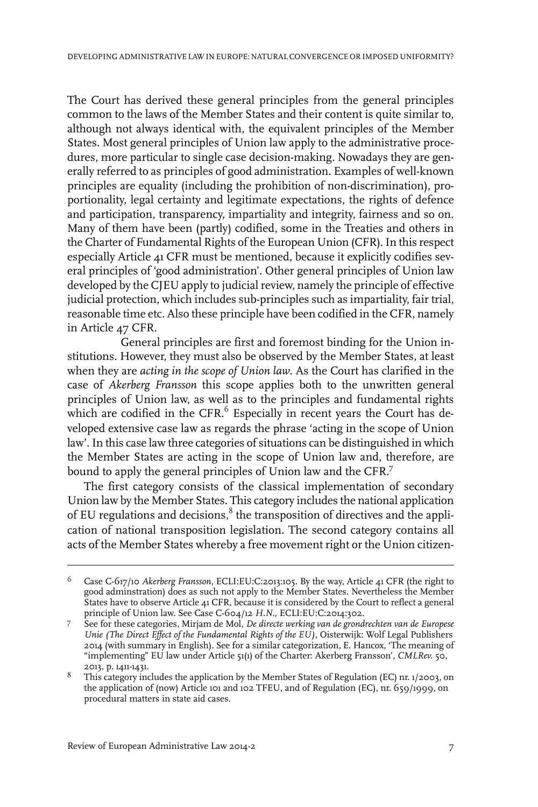The Court has derived these general principles from the general principles common to the laws of the Member States and their content is quite similar to, although not always identical with, the equivalent principles of the Member States. Most general principles of Union law apply to the administrative procedures, more particular to single case decision-making. Nowadays they are generally referred to as principles of good administration. Examples of well-known principles are equality (including the prohibition of non-discrimination), proportionality, legal certainty and legitimate expectations, the rights of defence and participation, transparency, impartiality and integrity, fairness and so on. Many of them have been (partly) codified, some in the Treaties and others in the Charter of Fundamental Rights of the European Union (CFR). In this respect especially Article 41 CFR must be mentioned, because it explicitly codifies several principles of 'good administration'. Other general principles of Union law developed by the CJEU apply to judicial review, namely the principle of effective judicial protection, which includes sub-principles such as impartiality, fair trial, reasonable time etc. Also these principle have been codified in the CFR, namely in Article 47 CFR.

General principles are first and foremost binding for the Union institutions. However, they must also be observed by the Member States, at least when they are *acting in the scope of Union law*. As the Court has clarified in the case of *Akerberg Fransson* this scope applies both to the unwritten general principles of Union law, as well as to the principles and fundamental rights which are codified in the CFR.<sup>6</sup> Especially in recent years the Court has developed extensive case law as regards the phrase 'acting in the scope of Union law'. In this case law three categories of situations can be distinguished in which the Member States are acting in the scope of Union law and, therefore, are bound to apply the general principles of Union law and the CFR.<sup>7</sup>

The first category consists of the classical implementation of secondary Union law by the Member States. This category includes the national application of EU regulations and decisions, $^8$  the transposition of directives and the application of national transposition legislation. The second category contains all acts of the Member States whereby a free movement right or the Union citizen-

Case C-617/10 *Akerberg Fransson*, ECLI:EU:C:2013:105. By the way, Article 41 CFR (the right to good adminstration) does as such not apply to the Member States. Nevertheless the Member 6 States have to observe Article 41 CFR, because it is considered by the Court to reflect a general principle of Union law. See Case C-604/12 *H.N.*, ECLI:EU:C:2014:302.

See for these categories, Mirjam de Mol, *De directe werking van de grondrechten van de Europese Unie (The Direct Effect of the Fundamental Rights of the EU)*, Oisterwijk: Wolf Legal Publishers 7 2014 (with summary in English). See for a similar categorization, E. Hancox, 'The meaning of "implementing" EU law under Article 51(1) of the Charter: Akerberg Fransson', *CMLRev.* 50, 2013, p. 1411-1431.

This category includes the application by the Member States of Regulation (EC) nr. 1/2003, on the application of (now) Article 101 and 102 TFEU, and of Regulation (EC), nr. 659/1999, on procedural matters in state aid cases. 8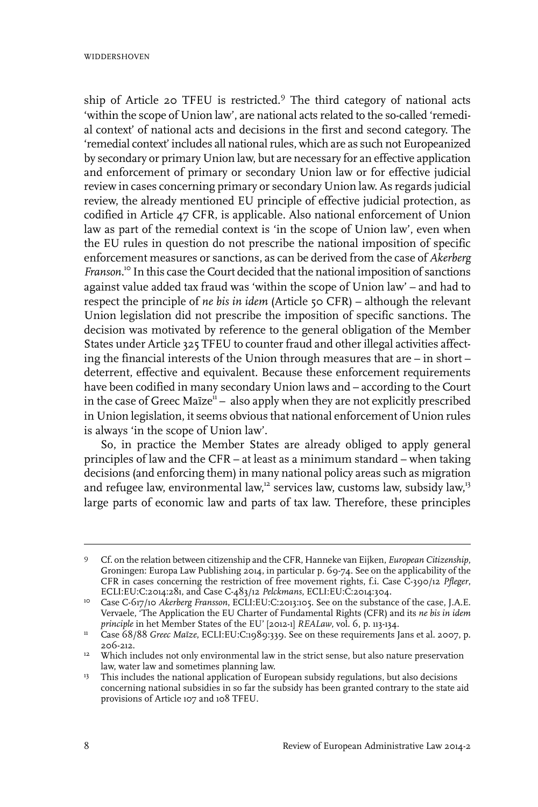ship of Article 20 TFEU is restricted.<sup>9</sup> The third category of national acts 'within the scope of Union law', are national acts related to the so-called 'remedial context' of national acts and decisions in the first and second category. The 'remedial context' includes all national rules, which are as such not Europeanized by secondary or primary Union law, but are necessary for an effective application and enforcement of primary or secondary Union law or for effective judicial review in cases concerning primary or secondary Union law. As regards judicial review, the already mentioned EU principle of effective judicial protection, as codified in Article 47 CFR, is applicable. Also national enforcement of Union law as part of the remedial context is 'in the scope of Union law', even when the EU rules in question do not prescribe the national imposition of specific enforcement measures or sanctions, as can be derived from the case of *Akerberg Franson*. <sup>10</sup> In this case the Court decided that the national imposition of sanctions against value added tax fraud was 'within the scope of Union law' – and had to respect the principle of *ne bis in idem* (Article 50 CFR) – although the relevant Union legislation did not prescribe the imposition of specific sanctions. The decision was motivated by reference to the general obligation of the Member States under Article 325 TFEU to counter fraud and other illegal activities affecting the financial interests of the Union through measures that are – in short – deterrent, effective and equivalent. Because these enforcement requirements have been codified in many secondary Union laws and – according to the Court in the case of Greec Maïze<sup>n</sup> - also apply when they are not explicitly prescribed in Union legislation, it seems obvious that national enforcement of Union rules is always 'in the scope of Union law'.

So, in practice the Member States are already obliged to apply general principles of law and the CFR – at least as a minimum standard – when taking decisions (and enforcing them) in many national policy areas such as migration and refugee law, environmental law,<sup>12</sup> services law, customs law, subsidy law,<sup>13</sup> large parts of economic law and parts of tax law. Therefore, these principles

Cf. on the relation between citizenship and the CFR, Hanneke van Eijken, *European Citizenship*, Groningen: Europa Law Publishing 2014, in particular p. 69-74. See on the applicability of the 9 CFR in cases concerning the restriction of free movement rights, f.i. Case C-390/12 *Pfleger*, ECLI:EU:C:2014:281, and Case C-483/12 *Pelckmans*, ECLI:EU:C:2014:304.

<sup>&</sup>lt;sup>10</sup> Case C-617/10 *Akerberg Fransson*, ECLI:EU:C:2013:105. See on the substance of the case, J.A.E. Vervaele, 'The Application the EU Charter of Fundamental Rights (CFR) and its *ne bis in idem principle* in het Member States of the EU' [2012-1] *REALaw*, vol. 6, p. 113-134.

Case 68/88 *Greec Maïze*, ECLI:EU:C:1989:339. See on these requirements Jans et al. 2007, p. 206-212. 11

<sup>&</sup>lt;sup>12</sup> Which includes not only environmental law in the strict sense, but also nature preservation law, water law and sometimes planning law.

<sup>&</sup>lt;sup>13</sup> This includes the national application of European subsidy regulations, but also decisions concerning national subsidies in so far the subsidy has been granted contrary to the state aid provisions of Article 107 and 108 TFEU.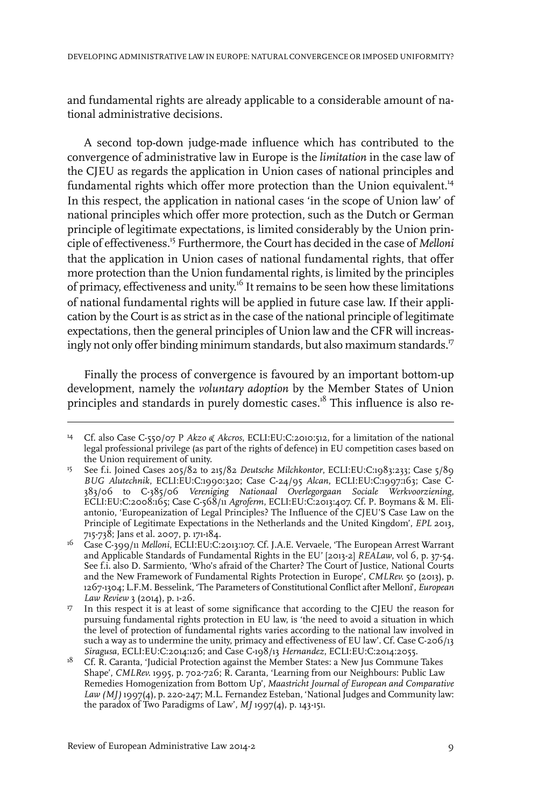and fundamental rights are already applicable to a considerable amount of national administrative decisions.

A second top-down judge-made influence which has contributed to the convergence of administrative law in Europe is the *limitation* in the case law of the CJEU as regards the application in Union cases of national principles and fundamental rights which offer more protection than the Union equivalent.<sup>14</sup> In this respect, the application in national cases 'in the scope of Union law' of national principles which offer more protection, such as the Dutch or German principle of legitimate expectations, is limited considerably by the Union principle of effectiveness.<sup>15</sup> Furthermore, the Court has decided in the case of *Melloni* that the application in Union cases of national fundamental rights, that offer more protection than the Union fundamental rights, is limited by the principles of primacy, effectiveness and unity.<sup>16</sup> It remains to be seen how these limitations of national fundamental rights will be applied in future case law. If their application by the Court is as strict as in the case of the national principle of legitimate expectations, then the general principles of Union law and the CFR will increasingly not only offer binding minimum standards, but also maximum standards.<sup>17</sup>

Finally the process of convergence is favoured by an important bottom-up development, namely the *voluntary adoption* by the Member States of Union principles and standards in purely domestic cases.<sup>18</sup> This influence is also re-

Cf. also Case C-550/07 P *Akzo & Akcros*, ECLI:EU:C:2010:512, for a limitation of the national 14 legal professional privilege (as part of the rights of defence) in EU competition cases based on the Union requirement of unity.

See f.i. Joined Cases 205/82 to 215/82 *Deutsche Milchkontor*, ECLI:EU:C:1983:233; Case 5/89 *BUG Alutechnik*, ECLI:EU:C:1990:320; Case C-24/95 *Alcan*, ECLI:EU:C:1997:163; Case C-15 383/06 to C-385/06 *Vereniging Nationaal Overlegorgaan Sociale Werkvoorziening*, ECLI:EU:C:2008:165; Case C-568/11 *Agroferm*, ECLI:EU:C:2013:407. Cf. P. Boymans & M. Eliantonio, 'Europeanization of Legal Principles? The Influence of the CJEU'S Case Law on the Principle of Legitimate Expectations in the Netherlands and the United Kingdom', *EPL* 2013, 715-738; Jans et al. 2007, p. 171-184.

Case C-399/11 *Melloni*, ECLI:EU:C:2013:107. Cf. J.A.E. Vervaele, 'The European Arrest Warrant and Applicable Standards of Fundamental Rights in the EU' [2013-2] *REALaw*, vol 6, p. 37-54. 16 See f.i. also D. Sarmiento, 'Who's afraid of the Charter? The Court of Justice, National Courts and the New Framework of Fundamental Rights Protection in Europe', *CMLRev.* 50 (2013), p. 1267-1304; L.F.M. Besselink, 'The Parameters of Constitutional Conflict after Melloni', *European Law Review* 3 (2014), p. 1-26.

In this respect it is at least of some significance that according to the CJEU the reason for pursuing fundamental rights protection in EU law, is 'the need to avoid a situation in which 17 the level of protection of fundamental rights varies according to the national law involved in such a way as to undermine the unity, primacy and effectiveness of EU law'. Cf. Case C-206/13 *Siragusa*, ECLI:EU:C:2014:126; and Case C-198/13 *Hernandez*, ECLI:EU:C:2014:2055.

Cf. R. Caranta, 'Judicial Protection against the Member States: a New Jus Commune Takes Shape', *CMLRev.* 1995, p. 702-726; R. Caranta, 'Learning from our Neighbours: Public Law 18 Remedies Homogenization from Bottom Up', *Maastricht Journal of European and Comparative Law (MJ)* 1997(4), p. 220-247; M.L. Fernandez Esteban, 'National Judges and Community law: the paradox of Two Paradigms of Law', *MJ* 1997(4), p. 143-151.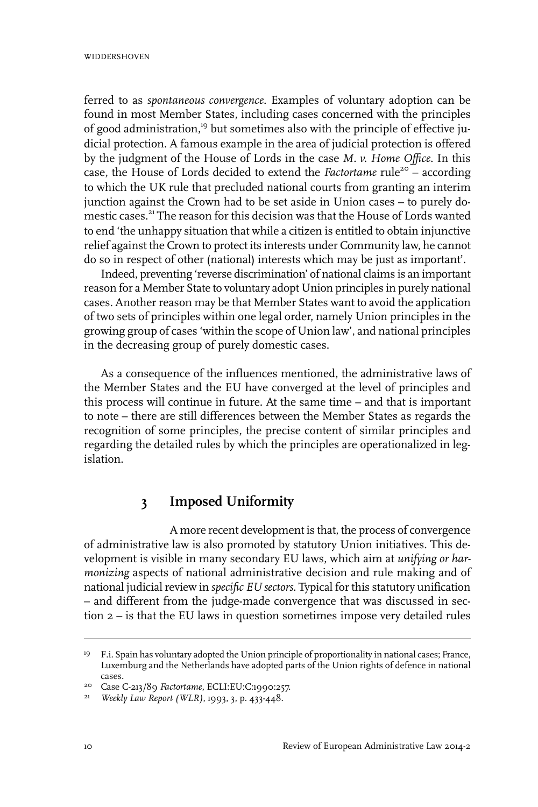ferred to as *spontaneous convergence*. Examples of voluntary adoption can be found in most Member States, including cases concerned with the principles of good administration,<sup>19</sup> but sometimes also with the principle of effective judicial protection. A famous example in the area of judicial protection is offered by the judgment of the House of Lords in the case *M. v. Home Office*. In this case, the House of Lords decided to extend the *Factortame* rule<sup>20</sup> - according to which the UK rule that precluded national courts from granting an interim junction against the Crown had to be set aside in Union cases – to purely domestic cases.<sup>21</sup> The reason for this decision was that the House of Lords wanted to end 'the unhappy situation that while a citizen is entitled to obtain injunctive relief against the Crown to protect its interests under Community law, he cannot do so in respect of other (national) interests which may be just as important'.

Indeed, preventing 'reverse discrimination' of national claims is an important reason for a Member State to voluntary adopt Union principles in purely national cases. Another reason may be that Member States want to avoid the application of two sets of principles within one legal order, namely Union principles in the growing group of cases 'within the scope of Union law', and national principles in the decreasing group of purely domestic cases.

As a consequence of the influences mentioned, the administrative laws of the Member States and the EU have converged at the level of principles and this process will continue in future. At the same time – and that is important to note – there are still differences between the Member States as regards the recognition of some principles, the precise content of similar principles and regarding the detailed rules by which the principles are operationalized in legislation.

# **3 Imposed Uniformity**

A more recent development is that, the process of convergence of administrative law is also promoted by statutory Union initiatives. This development is visible in many secondary EU laws, which aim at *unifying or harmonizing* aspects of national administrative decision and rule making and of national judicial review in *specific EU sectors*. Typical for this statutory unification – and different from the judge-made convergence that was discussed in section 2 – is that the EU laws in question sometimes impose very detailed rules

<sup>&</sup>lt;sup>19</sup> F.i. Spain has voluntary adopted the Union principle of proportionality in national cases; France, Luxemburg and the Netherlands have adopted parts of the Union rights of defence in national cases.

<sup>&</sup>lt;sup>20</sup> Case C-213/89 Factortame, ECLI:EU:C:1990:257.

*Weekly Law Report (WLR)*, 1993, 3, p. 433-448. <sup>21</sup>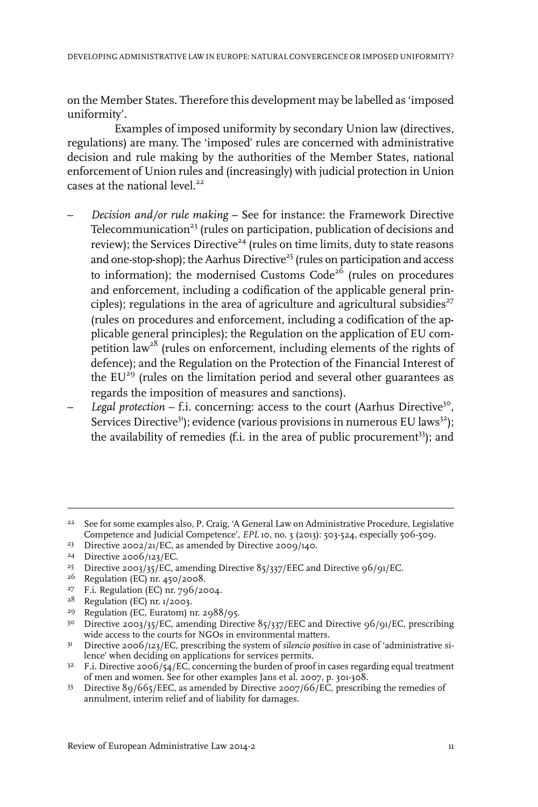on the Member States. Therefore this development may be labelled as 'imposed uniformity'.

Examples of imposed uniformity by secondary Union law (directives, regulations) are many. The 'imposed' rules are concerned with administrative decision and rule making by the authorities of the Member States, national enforcement of Union rules and (increasingly) with judicial protection in Union cases at the national level. $22$ 

- *Decision and/or rule making* See for instance: the Framework Directive Telecommunication $^{23}$  (rules on participation, publication of decisions and review); the Services Directive<sup>24</sup> (rules on time limits, duty to state reasons and one-stop-shop); the Aarhus Directive<sup>25</sup> (rules on participation and access to information); the modernised Customs  $Code<sup>26</sup>$  (rules on procedures and enforcement, including a codification of the applicable general principles); regulations in the area of agriculture and agricultural subsidies<sup> $27$ </sup> (rules on procedures and enforcement, including a codification of the applicable general principles); the Regulation on the application of EU competition  $law<sup>28</sup>$  (rules on enforcement, including elements of the rights of defence); and the Regulation on the Protection of the Financial Interest of the  $EU^{29}$  (rules on the limitation period and several other guarantees as regards the imposition of measures and sanctions).
- Legal protection f.i. concerning: access to the court (Aarhus Directive<sup>30</sup>, Services Directive<sup>31</sup>); evidence (various provisions in numerous EU laws<sup>32</sup>); the availability of remedies  $(f.i.$  in the area of public procurement<sup>33</sup>); and

 $2^2$  See for some examples also, P. Craig, 'A General Law on Administrative Procedure, Legislative Competence and Judicial Competence', *EPL* 10, no. 3 (2013): 503-524, especially 506-509.

<sup>&</sup>lt;sup>23</sup> Directive 2002/21/EC, as amended by Directive 2009/140.

 $24$  Directive 2006/123/EC.

<sup>&</sup>lt;sup>25</sup> Directive 2003/35/EC, amending Directive  $85/337/EEC$  and Directive  $96/91/EC$ .

<sup>&</sup>lt;sup>26</sup> Regulation (EC) nr. 450/2008.

<sup>&</sup>lt;sup>27</sup> F.i. Regulation (EC) nr. 796/2004.

<sup>&</sup>lt;sup>28</sup> Regulation (EC) nr. 1/2003.

<sup>&</sup>lt;sup>29</sup> Regulation (EC, Euratom) nr. 2988/95.

<sup>&</sup>lt;sup>30</sup> Directive 2003/35/EC, amending Directive 85/337/EEC and Directive 96/91/EC, prescribing wide access to the courts for NGOs in environmental matters.

<sup>&</sup>lt;sup>31</sup> Directive 2006/123/EC, prescribing the system of *silencio positivo* in case of 'administrative silence' when deciding on applications for services permits.

 $F$  F.i. Directive 2006/54/EC, concerning the burden of proof in cases regarding equal treatment of men and women. See for other examples Jans et al. 2007, p. 301-308.

<sup>33</sup> Directive 89/665/EEC, as amended by Directive 2007/66/EC, prescribing the remedies of annulment, interim relief and of liability for damages.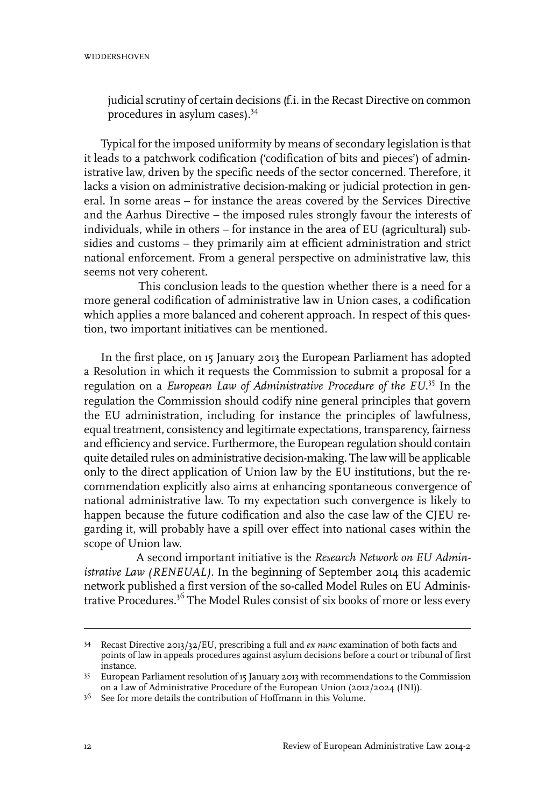#### **WIDDERSHOVEN**

judicial scrutiny of certain decisions (f.i. in the Recast Directive on common procedures in asylum cases).<sup>34</sup>

Typical for the imposed uniformity by means of secondary legislation is that it leads to a patchwork codification ('codification of bits and pieces') of administrative law, driven by the specific needs of the sector concerned. Therefore, it lacks a vision on administrative decision-making or judicial protection in general. In some areas – for instance the areas covered by the Services Directive and the Aarhus Directive – the imposed rules strongly favour the interests of individuals, while in others – for instance in the area of EU (agricultural) subsidies and customs – they primarily aim at efficient administration and strict national enforcement. From a general perspective on administrative law, this seems not very coherent.

This conclusion leads to the question whether there is a need for a more general codification of administrative law in Union cases, a codification which applies a more balanced and coherent approach. In respect of this question, two important initiatives can be mentioned.

In the first place, on 15 January 2013 the European Parliament has adopted a Resolution in which it requests the Commission to submit a proposal for a regulation on a *European Law of Administrative Procedure of the EU*. <sup>35</sup> In the regulation the Commission should codify nine general principles that govern the EU administration, including for instance the principles of lawfulness, equal treatment, consistency and legitimate expectations, transparency, fairness and efficiency and service. Furthermore, the European regulation should contain quite detailed rules on administrative decision-making. The law will be applicable only to the direct application of Union law by the EU institutions, but the recommendation explicitly also aims at enhancing spontaneous convergence of national administrative law. To my expectation such convergence is likely to happen because the future codification and also the case law of the CJEU regarding it, will probably have a spill over effect into national cases within the scope of Union law.

A second important initiative is the *Research Network on EU Administrative Law (RENEUAL)*. In the beginning of September 2014 this academic network published a first version of the so-called Model Rules on EU Administrative Procedures.<sup>36</sup> The Model Rules consist of six books of more or less every

Recast Directive 2013/32/EU, prescribing a full and *ex nunc* examination of both facts and 34 points of law in appeals procedures against asylum decisions before a court or tribunal of first instance.

European Parliament resolution of 15 January 2013 with recommendations to the Commission 35 on a Law of Administrative Procedure of the European Union (2012/2024 (INI)).

 $36$  See for more details the contribution of Hoffmann in this Volume.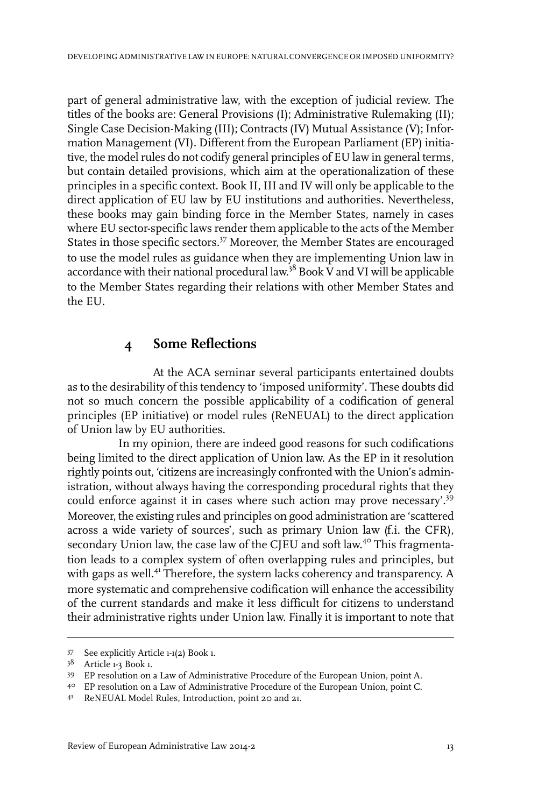part of general administrative law, with the exception of judicial review. The titles of the books are: General Provisions (I); Administrative Rulemaking (II); Single Case Decision-Making (III); Contracts (IV) Mutual Assistance (V); Information Management (VI). Different from the European Parliament (EP) initiative, the model rules do not codify general principles of EU law in general terms, but contain detailed provisions, which aim at the operationalization of these principles in a specific context. Book II, III and IV will only be applicable to the direct application of EU law by EU institutions and authorities. Nevertheless, these books may gain binding force in the Member States, namely in cases where EU sector-specific laws render them applicable to the acts of the Member States in those specific sectors.<sup>37</sup> Moreover, the Member States are encouraged to use the model rules as guidance when they are implementing Union law in accordance with their national procedural law.<sup>38</sup> Book V and VI will be applicable to the Member States regarding their relations with other Member States and the EU.

#### **4 Some Reflections**

At the ACA seminar several participants entertained doubts as to the desirability of this tendency to 'imposed uniformity'. These doubts did not so much concern the possible applicability of a codification of general principles (EP initiative) or model rules (ReNEUAL) to the direct application of Union law by EU authorities.

In my opinion, there are indeed good reasons for such codifications being limited to the direct application of Union law. As the EP in it resolution rightly points out, 'citizens are increasingly confronted with the Union's administration, without always having the corresponding procedural rights that they could enforce against it in cases where such action may prove necessary'.<sup>39</sup> Moreover, the existing rules and principles on good administration are 'scattered across a wide variety of sources', such as primary Union law (f.i. the CFR), secondary Union law, the case law of the CJEU and soft law.<sup>40</sup> This fragmentation leads to a complex system of often overlapping rules and principles, but with gaps as well.<sup>41</sup> Therefore, the system lacks coherency and transparency. A more systematic and comprehensive codification will enhance the accessibility of the current standards and make it less difficult for citizens to understand their administrative rights under Union law. Finally it is important to note that

<sup>37</sup> See explicitly Article 1-1(2) Book 1.

<sup>38</sup> Article 1-3 Book 1.

EP resolution on a Law of Administrative Procedure of the European Union, point A. <sup>39</sup>

EP resolution on a Law of Administrative Procedure of the European Union, point C. <sup>40</sup>

<sup>41</sup> ReNEUAL Model Rules, Introduction, point 20 and 21.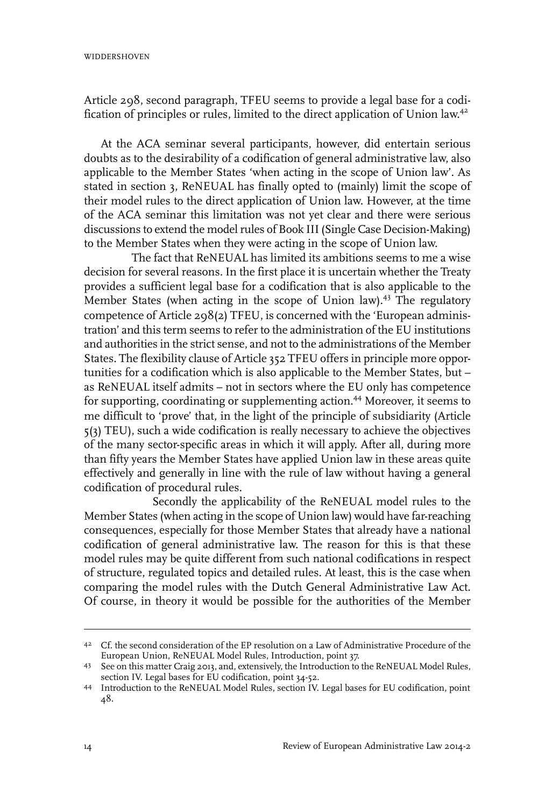Article 298, second paragraph, TFEU seems to provide a legal base for a codification of principles or rules, limited to the direct application of Union law.<sup>42</sup>

At the ACA seminar several participants, however, did entertain serious doubts as to the desirability of a codification of general administrative law, also applicable to the Member States 'when acting in the scope of Union law'. As stated in section 3, ReNEUAL has finally opted to (mainly) limit the scope of their model rules to the direct application of Union law. However, at the time of the ACA seminar this limitation was not yet clear and there were serious discussions to extend the model rules of Book III (Single Case Decision-Making) to the Member States when they were acting in the scope of Union law.

The fact that ReNEUAL has limited its ambitions seems to me a wise decision for several reasons. In the first place it is uncertain whether the Treaty provides a sufficient legal base for a codification that is also applicable to the Member States (when acting in the scope of Union law).<sup>43</sup> The regulatory competence of Article 298(2) TFEU, is concerned with the 'European administration' and this term seems to refer to the administration of the EU institutions and authorities in the strict sense, and not to the administrations of the Member States. The flexibility clause of Article 352 TFEU offers in principle more opportunities for a codification which is also applicable to the Member States, but – as ReNEUAL itself admits – not in sectors where the EU only has competence for supporting, coordinating or supplementing action.<sup>44</sup> Moreover, it seems to me difficult to 'prove' that, in the light of the principle of subsidiarity (Article 5(3) TEU), such a wide codification is really necessary to achieve the objectives of the many sector-specific areas in which it will apply. After all, during more than fifty years the Member States have applied Union law in these areas quite effectively and generally in line with the rule of law without having a general codification of procedural rules.

Secondly the applicability of the ReNEUAL model rules to the Member States (when acting in the scope of Union law) would have far-reaching consequences, especially for those Member States that already have a national codification of general administrative law. The reason for this is that these model rules may be quite different from such national codifications in respect of structure, regulated topics and detailed rules. At least, this is the case when comparing the model rules with the Dutch General Administrative Law Act. Of course, in theory it would be possible for the authorities of the Member

<sup>&</sup>lt;sup>42</sup> Cf. the second consideration of the EP resolution on a Law of Administrative Procedure of the European Union, ReNEUAL Model Rules, Introduction, point 37.

<sup>43</sup> See on this matter Craig 2013, and, extensively, the Introduction to the ReNEUAL Model Rules, section IV. Legal bases for EU codification, point 34-52.

<sup>44</sup> Introduction to the ReNEUAL Model Rules, section IV. Legal bases for EU codification, point 48.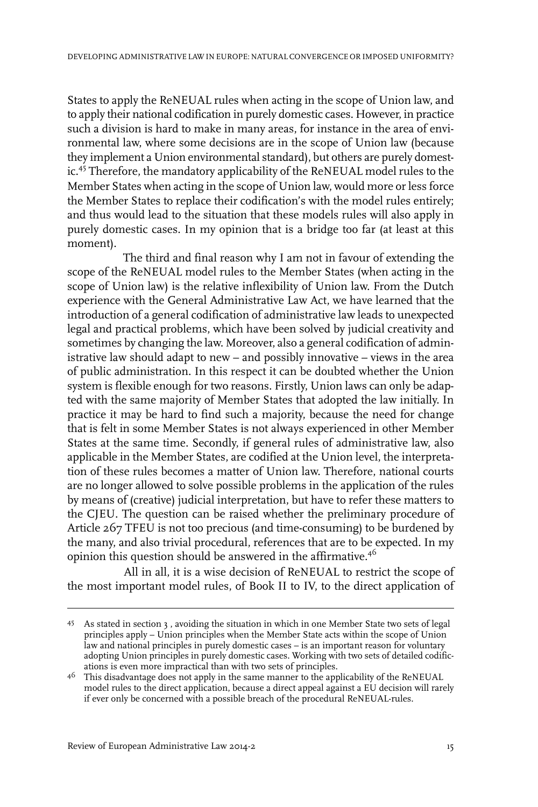States to apply the ReNEUAL rules when acting in the scope of Union law, and to apply their national codification in purely domestic cases. However, in practice such a division is hard to make in many areas, for instance in the area of environmental law, where some decisions are in the scope of Union law (because they implement a Union environmental standard), but others are purely domestic.<sup>45</sup> Therefore, the mandatory applicability of the ReNEUAL model rules to the Member States when acting in the scope of Union law, would more or less force the Member States to replace their codification's with the model rules entirely; and thus would lead to the situation that these models rules will also apply in purely domestic cases. In my opinion that is a bridge too far (at least at this moment).

The third and final reason why I am not in favour of extending the scope of the ReNEUAL model rules to the Member States (when acting in the scope of Union law) is the relative inflexibility of Union law. From the Dutch experience with the General Administrative Law Act, we have learned that the introduction of a general codification of administrative law leads to unexpected legal and practical problems, which have been solved by judicial creativity and sometimes by changing the law. Moreover, also a general codification of administrative law should adapt to new – and possibly innovative – views in the area of public administration. In this respect it can be doubted whether the Union system is flexible enough for two reasons. Firstly, Union laws can only be adapted with the same majority of Member States that adopted the law initially. In practice it may be hard to find such a majority, because the need for change that is felt in some Member States is not always experienced in other Member States at the same time. Secondly, if general rules of administrative law, also applicable in the Member States, are codified at the Union level, the interpretation of these rules becomes a matter of Union law. Therefore, national courts are no longer allowed to solve possible problems in the application of the rules by means of (creative) judicial interpretation, but have to refer these matters to the CJEU. The question can be raised whether the preliminary procedure of Article 267 TFEU is not too precious (and time-consuming) to be burdened by the many, and also trivial procedural, references that are to be expected. In my opinion this question should be answered in the affirmative.<sup>46</sup>

All in all, it is a wise decision of ReNEUAL to restrict the scope of the most important model rules, of Book II to IV, to the direct application of

As stated in section 3 , avoiding the situation in which in one Member State two sets of legal 45 principles apply – Union principles when the Member State acts within the scope of Union law and national principles in purely domestic cases – is an important reason for voluntary adopting Union principles in purely domestic cases. Working with two sets of detailed codifications is even more impractical than with two sets of principles.

 $^{46}$  This disadvantage does not apply in the same manner to the applicability of the ReNEUAL model rules to the direct application, because a direct appeal against a EU decision will rarely if ever only be concerned with a possible breach of the procedural ReNEUAL-rules.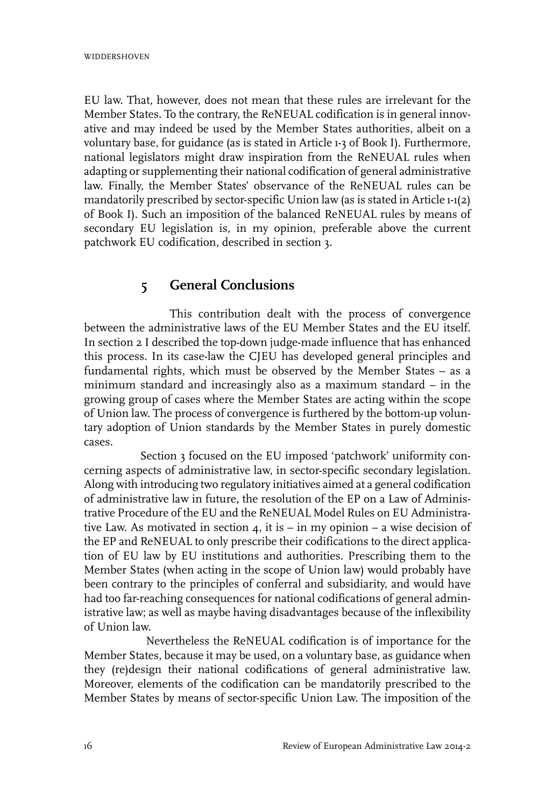EU law. That, however, does not mean that these rules are irrelevant for the Member States. To the contrary, the ReNEUAL codification is in general innovative and may indeed be used by the Member States authorities, albeit on a voluntary base, for guidance (as is stated in Article 1-3 of Book I). Furthermore, national legislators might draw inspiration from the ReNEUAL rules when adapting or supplementing their national codification of general administrative law. Finally, the Member States' observance of the ReNEUAL rules can be mandatorily prescribed by sector-specific Union law (as is stated in Article 1-1(2) of Book I). Such an imposition of the balanced ReNEUAL rules by means of secondary EU legislation is, in my opinion, preferable above the current patchwork EU codification, described in section 3.

# **5 General Conclusions**

This contribution dealt with the process of convergence between the administrative laws of the EU Member States and the EU itself. In section 2 I described the top-down judge-made influence that has enhanced this process. In its case-law the CJEU has developed general principles and fundamental rights, which must be observed by the Member States – as a minimum standard and increasingly also as a maximum standard – in the growing group of cases where the Member States are acting within the scope of Union law. The process of convergence is furthered by the bottom-up voluntary adoption of Union standards by the Member States in purely domestic cases.

Section 3 focused on the EU imposed 'patchwork' uniformity concerning aspects of administrative law, in sector-specific secondary legislation. Along with introducing two regulatory initiatives aimed at a general codification of administrative law in future, the resolution of the EP on a Law of Administrative Procedure of the EU and the ReNEUAL Model Rules on EU Administrative Law. As motivated in section  $4$ , it is – in my opinion – a wise decision of the EP and ReNEUAL to only prescribe their codifications to the direct application of EU law by EU institutions and authorities. Prescribing them to the Member States (when acting in the scope of Union law) would probably have been contrary to the principles of conferral and subsidiarity, and would have had too far-reaching consequences for national codifications of general administrative law; as well as maybe having disadvantages because of the inflexibility of Union law.

Nevertheless the ReNEUAL codification is of importance for the Member States, because it may be used, on a voluntary base, as guidance when they (re)design their national codifications of general administrative law. Moreover, elements of the codification can be mandatorily prescribed to the Member States by means of sector-specific Union Law. The imposition of the